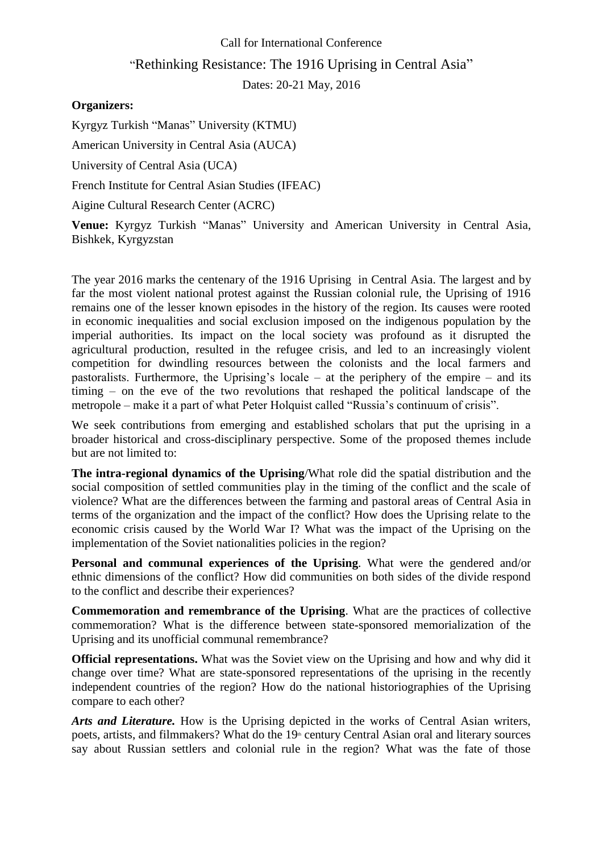Call for International Conference

## "Rethinking Resistance: The 1916 Uprising in Central Asia"

Dates: 20-21 May, 2016

## **Organizers:**

Kyrgyz Turkish "Manas" University (KTMU)

American University in Central Asia (AUCA)

University of Central Asia (UCA)

French Institute for Central Asian Studies (IFEAC)

Aigine Cultural Research Center (ACRC)

**Venue:** Kyrgyz Turkish "Manas" University and American University in Central Asia, Bishkek, Kyrgyzstan

The year 2016 marks the centenary of the 1916 Uprising in Central Asia. The largest and by far the most violent national protest against the Russian colonial rule, the Uprising of 1916 remains one of the lesser known episodes in the history of the region. Its causes were rooted in economic inequalities and social exclusion imposed on the indigenous population by the imperial authorities. Its impact on the local society was profound as it disrupted the agricultural production, resulted in the refugee crisis, and led to an increasingly violent competition for dwindling resources between the colonists and the local farmers and pastoralists. Furthermore, the Uprising's locale – at the periphery of the empire – and its timing – on the eve of the two revolutions that reshaped the political landscape of the metropole – make it a part of what Peter Holquist called "Russia's continuum of crisis".

We seek contributions from emerging and established scholars that put the uprising in a broader historical and cross-disciplinary perspective. Some of the proposed themes include but are not limited to:

**The intra-regional dynamics of the Uprising**/What role did the spatial distribution and the social composition of settled communities play in the timing of the conflict and the scale of violence? What are the differences between the farming and pastoral areas of Central Asia in terms of the organization and the impact of the conflict? How does the Uprising relate to the economic crisis caused by the World War I? What was the impact of the Uprising on the implementation of the Soviet nationalities policies in the region?

**Personal and communal experiences of the Uprising***.* What were the gendered and/or ethnic dimensions of the conflict? How did communities on both sides of the divide respond to the conflict and describe their experiences?

**Commemoration and remembrance of the Uprising**. What are the practices of collective commemoration? What is the difference between state-sponsored memorialization of the Uprising and its unofficial communal remembrance?

**Official representations.** What was the Soviet view on the Uprising and how and why did it change over time? What are state-sponsored representations of the uprising in the recently independent countries of the region? How do the national historiographies of the Uprising compare to each other?

*Arts and Literature.* How is the Uprising depicted in the works of Central Asian writers, poets, artists, and filmmakers? What do the 19<sup>th</sup> century Central Asian oral and literary sources say about Russian settlers and colonial rule in the region? What was the fate of those